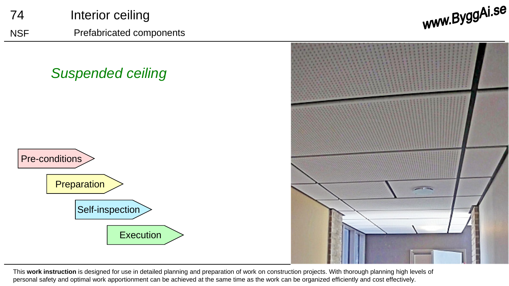

This **work instruction** is designed for use in detailed planning and preparation of work on construction projects. With thorough planning high levels of personal safety and optimal work apportionment can be achieved at the same time as the work can be organized efficiently and cost effectively.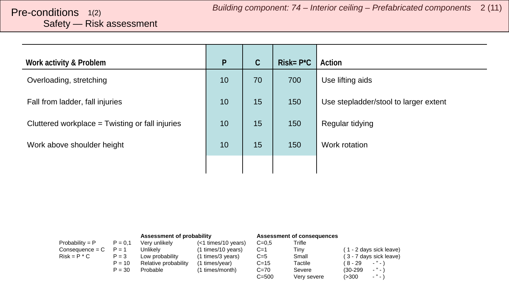# <span id="page-1-0"></span>Safety — Risk assessment

| Work activity & Problem                         | $\mathsf{P}$ | $\mathsf C$ | $Risk = P^{\star}C$ | Action                                |
|-------------------------------------------------|--------------|-------------|---------------------|---------------------------------------|
| Overloading, stretching                         | 10           | 70          | 700                 | Use lifting aids                      |
| Fall from ladder, fall injuries                 | 10           | 15          | 150                 | Use stepladder/stool to larger extent |
| Cluttered workplace = Twisting or fall injuries | 10           | 15          | 150                 | Regular tidying                       |
| Work above shoulder height                      | 10           | 15          | 150                 | Work rotation                         |
|                                                 |              |             |                     |                                       |

|                   |           | Assessment of probability |                     | Assessment of consequences |             |                                        |
|-------------------|-----------|---------------------------|---------------------|----------------------------|-------------|----------------------------------------|
| Probability = $P$ | $P = 0.1$ | Very unlikely             | (<1 times/10 years) | $C = 0.5$                  | Trifle      |                                        |
| $Consequence = C$ | $P = 1$   | Unlikelv                  | (1 times/10 years)  | $C=1$                      | Tiny        | (1 - 2 days sick leave)                |
| $Risk = P * C$    | $P = 3$   | Low probability           | (1 times/3 years)   | $C=5$                      | Small       | (3 - 7 days sick leave)                |
|                   | $P = 10$  | Relative probability      | (1 times/year)      | $C = 15$                   | Tactile     | ( 8 - 29<br>$\cdots$                   |
|                   | $P = 30$  | Probable                  | (1 times/month)     | $C=70$                     | Severe      | $ "$ $ \lambda$<br>$(30-299)$          |
|                   |           |                           |                     | $C = 500$                  | Very severe | $\sim$ $^{10}$ $\sim$ $^{11}$<br>(>300 |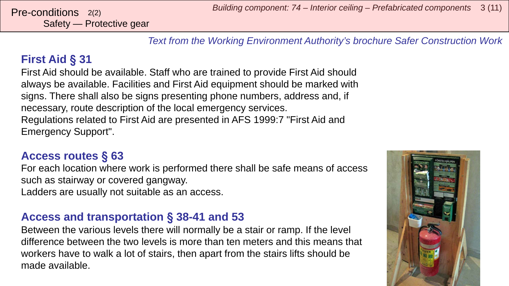Safety — Protective gear

*Text from the Working Environment Authority's brochure Safer Construction Work*

### **First Aid** § **31**

First Aid should be available. Staff who are trained to provide First Aid should always be available. Facilities and First Aid equipment should be marked with signs. There shall also be signs presenting phone numbers, address and, if necessary, route description of the local emergency services. Regulations related to First Aid are presented in AFS 1999:7 "First Aid and Emergency Support".

#### **Access routes** § **63**

For each location where work is performed there shall be safe means of access such as stairway or covered gangway. Ladders are usually not suitable as an access.

#### **Access and transportation** § **38-41 and 53**

Between the various levels there will normally be a stair or ramp. If the level difference between the two levels is more than ten meters and this means that workers have to walk a lot of stairs, then apart from the stairs lifts should be made available.

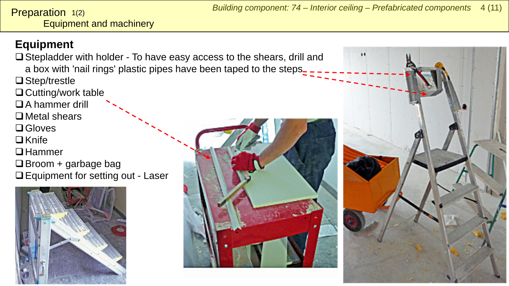<span id="page-3-0"></span>Equipment and machinery Preparation 1(2)

## **Equipment**

- $\Box$  Stepladder with holder To have easy access to the shears, drill and a box with 'nail rings' plastic pipes have been taped to the steps
- □ Step/trestle
- □ Cutting/work table
- A hammer drill
- $\Box$  Metal shears
- **□** Gloves
- $\Box$ Knife
- **□** Hammer
- $\Box$  Broom + garbage bag
- □ Equipment for setting out Laser





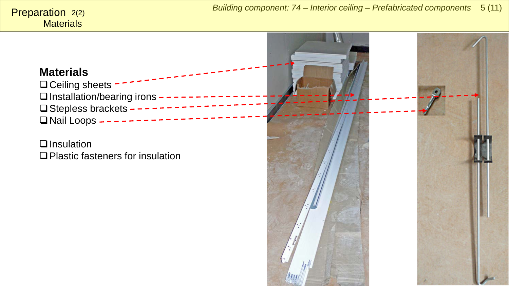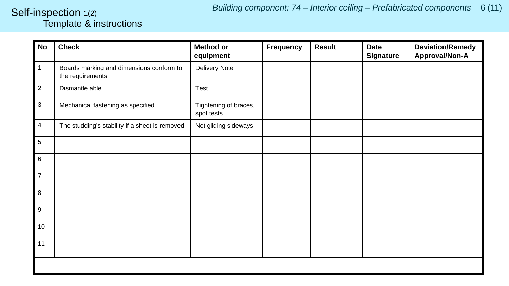#### <span id="page-5-0"></span>Template & instructions Self-inspection 1(2)

| <b>No</b>      | <b>Check</b>                                                 | <b>Method or</b><br>equipment       | <b>Frequency</b> | <b>Result</b> | <b>Date</b><br><b>Signature</b> | <b>Deviation/Remedy</b><br>Approval/Non-A |
|----------------|--------------------------------------------------------------|-------------------------------------|------------------|---------------|---------------------------------|-------------------------------------------|
| $\mathbf{1}$   | Boards marking and dimensions conform to<br>the requirements | Delivery Note                       |                  |               |                                 |                                           |
| $\overline{2}$ | Dismantle able                                               | Test                                |                  |               |                                 |                                           |
| $\mathbf{3}$   | Mechanical fastening as specified                            | Tightening of braces,<br>spot tests |                  |               |                                 |                                           |
| 4              | The studding's stability if a sheet is removed               | Not gliding sideways                |                  |               |                                 |                                           |
| 5              |                                                              |                                     |                  |               |                                 |                                           |
| 6              |                                                              |                                     |                  |               |                                 |                                           |
| $\overline{7}$ |                                                              |                                     |                  |               |                                 |                                           |
| 8              |                                                              |                                     |                  |               |                                 |                                           |
| 9              |                                                              |                                     |                  |               |                                 |                                           |
| 10             |                                                              |                                     |                  |               |                                 |                                           |
| 11             |                                                              |                                     |                  |               |                                 |                                           |
|                |                                                              |                                     |                  |               |                                 |                                           |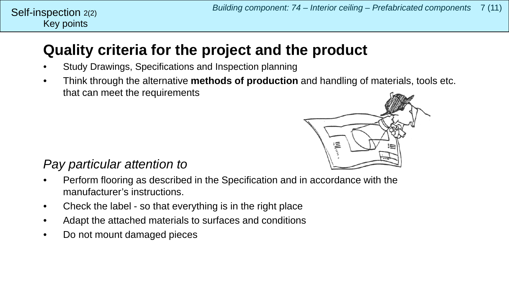# **Quality criteria for the project and the product**

- Study Drawings, Specifications and Inspection planning
- Think through the alternative **methods of production** and handling of materials, tools etc. that can meet the requirements



### *Pay particular attention to*

Key points

Self-inspection  $2(2)$ 

- Perform flooring as described in the Specification and in accordance with the manufacturer's instructions.
- Check the label so that everything is in the right place
- Adapt the attached materials to surfaces and conditions
- Do not mount damaged pieces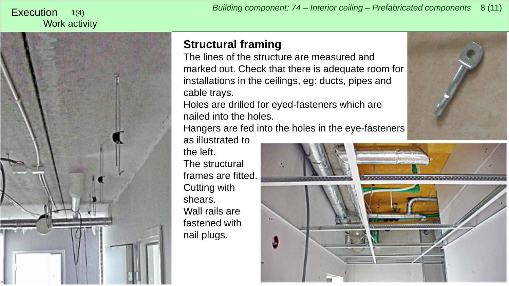#### <span id="page-7-0"></span>Work activity 1(4)



## **Structural framing**

The lines of the structure are measured and marked out. Check that there is adequate room for installations in the ceilings, eg: ducts, pipes and cable trays.

Holes are drilled for eyed-fasteners which are nailed into the holes.

Hangers are fed into the holes in the eye-fasteners

as illustrated to the left.

The structural frames are fitted. Cutting with shears. Wall rails are fastened with nail plugs.



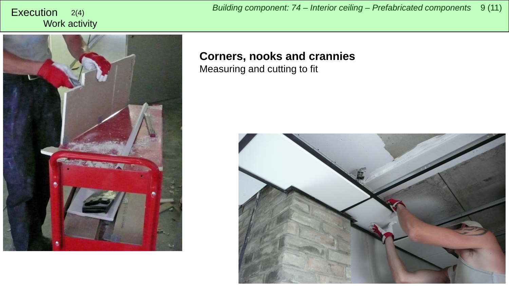Work activity

*Building component: 74 – Interior ceiling – Prefabricated components* <sup>9</sup> (11) Execution 2(4)



#### **Corners, nooks and crannies** Measuring and cutting to fit

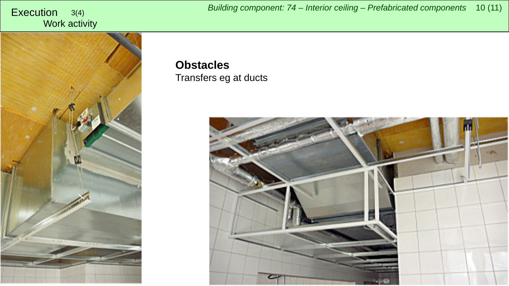# Work activity



# **Obstacles**

### Transfers eg at ducts